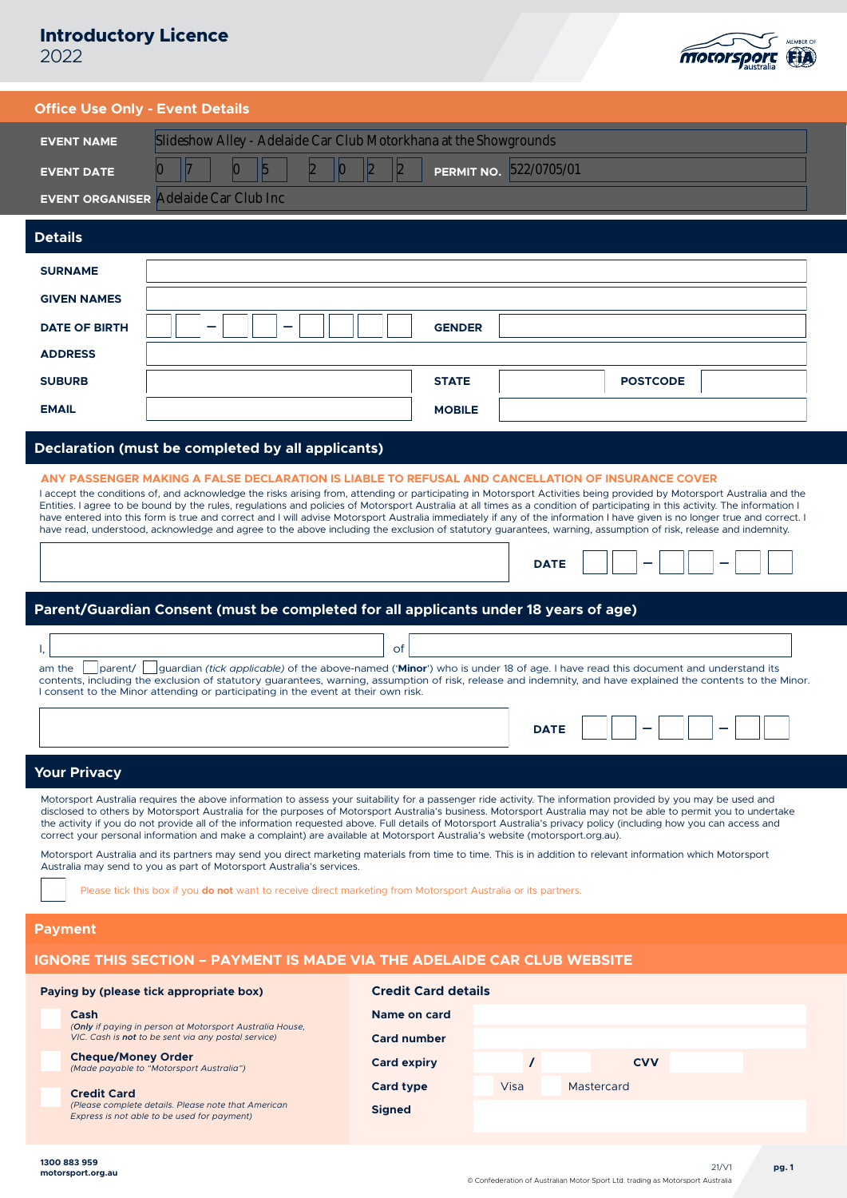## **Introductory Licence** 2022

motorsport (FIA)

|  |  | <b>Office Use Only - Event Details</b> |
|--|--|----------------------------------------|
|  |  |                                        |

| EVENT NAME        | Slideshow Alley - Adelaide Car Club Motorkhana at the Showgrounds |  |  |  |  |  |
|-------------------|-------------------------------------------------------------------|--|--|--|--|--|
| <b>EVENT DATE</b> | PERMIT NO. 522/0705/01                                            |  |  |  |  |  |
|                   |                                                                   |  |  |  |  |  |

## **EVENT ORGANISER** Adelaide Car Club Inc

| <b>Details</b>       |        |               |                 |
|----------------------|--------|---------------|-----------------|
| <b>SURNAME</b>       |        |               |                 |
| <b>GIVEN NAMES</b>   |        |               |                 |
| <b>DATE OF BIRTH</b> | _<br>- | <b>GENDER</b> |                 |
| <b>ADDRESS</b>       |        |               |                 |
| <b>SUBURB</b>        |        | <b>STATE</b>  | <b>POSTCODE</b> |
| <b>EMAIL</b>         |        | <b>MOBILE</b> |                 |

## **Declaration (must be completed by all applicants)**

## **ANY PASSENGER MAKING A FALSE DECLARATION IS LIABLE TO REFUSAL AND CANCELLATION OF INSURANCE COVER**

I accept the conditions of, and acknowledge the risks arising from, attending or participating in Motorsport Activities being provided by Motorsport Australia and the Entities. I agree to be bound by the rules, regulations and policies of Motorsport Australia at all times as a condition of participating in this activity. The information I have entered into this form is true and correct and I will advise Motorsport Australia immediately if any of the information I have given is no longer true and correct. I have read, understood, acknowledge and agree to the above including the exclusion of statutory guarantees, warning, assumption of risk, release and indemnity.

|  |  | the contract of the contract of the contract of the contract of the contract of | _ | the contract of the contract of the contract of | _ |  |
|--|--|---------------------------------------------------------------------------------|---|-------------------------------------------------|---|--|
|--|--|---------------------------------------------------------------------------------|---|-------------------------------------------------|---|--|

## **Parent/Guardian Consent (must be completed for all applicants under 18 years of age)**

|                                                                                                                                                              | ot |  |  |  |  |
|--------------------------------------------------------------------------------------------------------------------------------------------------------------|----|--|--|--|--|
| am the parent/ guardian (tick applicable) of the above-named ('Minor') who is under 18 of age. I have read this document and understand its                  |    |  |  |  |  |
| contents, including the exclusion of statutory quarantees, warning, assumption of risk, release and indemnity, and have explained the contents to the Minor. |    |  |  |  |  |
| I consent to the Minor attending or participating in the event at their own risk.                                                                            |    |  |  |  |  |

## **Your Privacy**

Motorsport Australia requires the above information to assess your suitability for a passenger ride activity. The information provided by you may be used and disclosed to others by Motorsport Australia for the purposes of Motorsport Australia's business. Motorsport Australia may not be able to permit you to undertake the activity if you do not provide all of the information requested above. Full details of Motorsport Australia's privacy policy (including how you can access and correct your personal information and make a complaint) are available at Motorsport Australia's website (motorsport.org.au).

Motorsport Australia and its partners may send you direct marketing materials from time to time. This is in addition to relevant information which Motorsport Australia may send to you as part of Motorsport Australia's services.

Please tick this box if you **do not** want to receive direct marketing from Motorsport Australia or its partners.

## **Payment**

**Cash** 

## **IGNORE THIS SECTION – PAYMENT IS MADE VIA THE ADELAIDE CAR CLUB WEBSITE**

## **Paying by (please tick appropriate box)**

| casn                                                       |
|------------------------------------------------------------|
| (Only if paying in person at Motorsport Australia House,   |
| VIC. Cash is <b>not</b> to be sent via any postal service) |

#### **Cheque/Money Order** *(Made payable to "Motorsport Australia")*

# **Credit Card**

*(Please complete details. Please note that American Express is not able to be used for payment)*

| <b>Credit Card details</b> |      |            |  |
|----------------------------|------|------------|--|
| <b>Name on card</b>        |      |            |  |
| <b>Card number</b>         |      |            |  |
| <b>Card expiry</b>         |      | <b>CVV</b> |  |
| <b>Card type</b>           | Visa | Mastercard |  |
| <b>Signed</b>              |      |            |  |